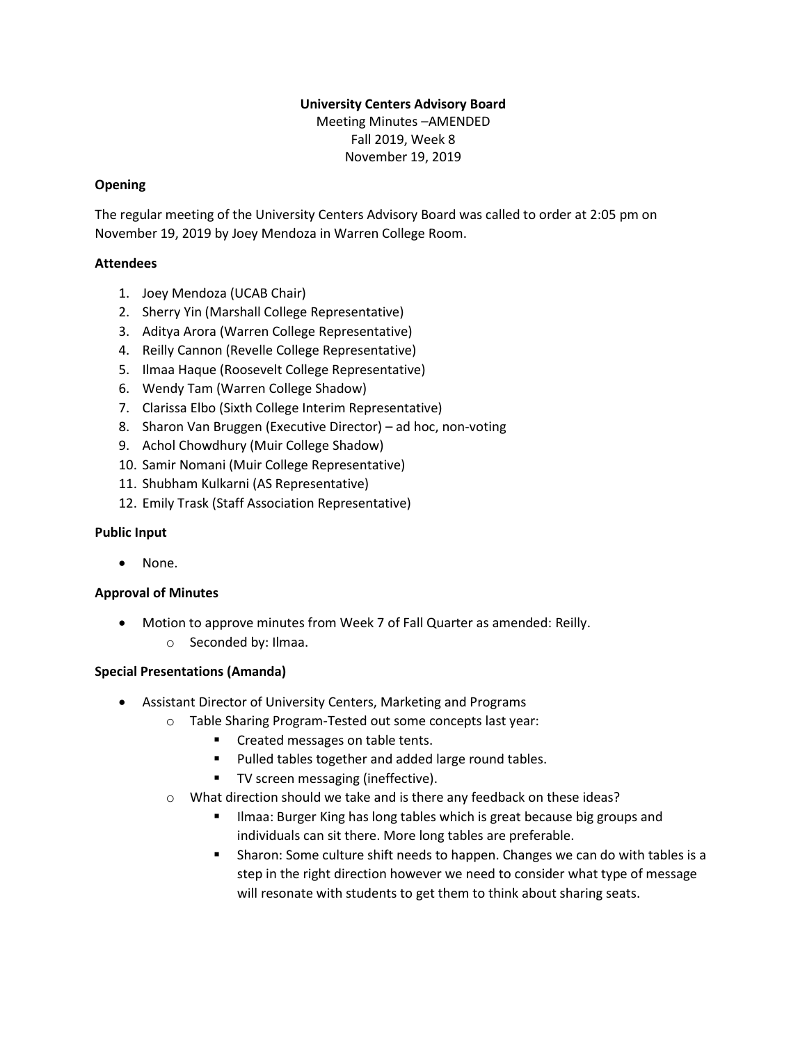# **University Centers Advisory Board**

Meeting Minutes –AMENDED Fall 2019, Week 8 November 19, 2019

## **Opening**

The regular meeting of the University Centers Advisory Board was called to order at 2:05 pm on November 19, 2019 by Joey Mendoza in Warren College Room.

## **Attendees**

- 1. Joey Mendoza (UCAB Chair)
- 2. Sherry Yin (Marshall College Representative)
- 3. Aditya Arora (Warren College Representative)
- 4. Reilly Cannon (Revelle College Representative)
- 5. Ilmaa Haque (Roosevelt College Representative)
- 6. Wendy Tam (Warren College Shadow)
- 7. Clarissa Elbo (Sixth College Interim Representative)
- 8. Sharon Van Bruggen (Executive Director) ad hoc, non-voting
- 9. Achol Chowdhury (Muir College Shadow)
- 10. Samir Nomani (Muir College Representative)
- 11. Shubham Kulkarni (AS Representative)
- 12. Emily Trask (Staff Association Representative)

# **Public Input**

None.

# **Approval of Minutes**

- Motion to approve minutes from Week 7 of Fall Quarter as amended: Reilly.
	- o Seconded by: Ilmaa.

# **Special Presentations (Amanda)**

- Assistant Director of University Centers, Marketing and Programs
	- o Table Sharing Program-Tested out some concepts last year:
		- Created messages on table tents.
		- Pulled tables together and added large round tables.
		- TV screen messaging (ineffective).
	- o What direction should we take and is there any feedback on these ideas?
		- Ilmaa: Burger King has long tables which is great because big groups and individuals can sit there. More long tables are preferable.
		- Sharon: Some culture shift needs to happen. Changes we can do with tables is a step in the right direction however we need to consider what type of message will resonate with students to get them to think about sharing seats.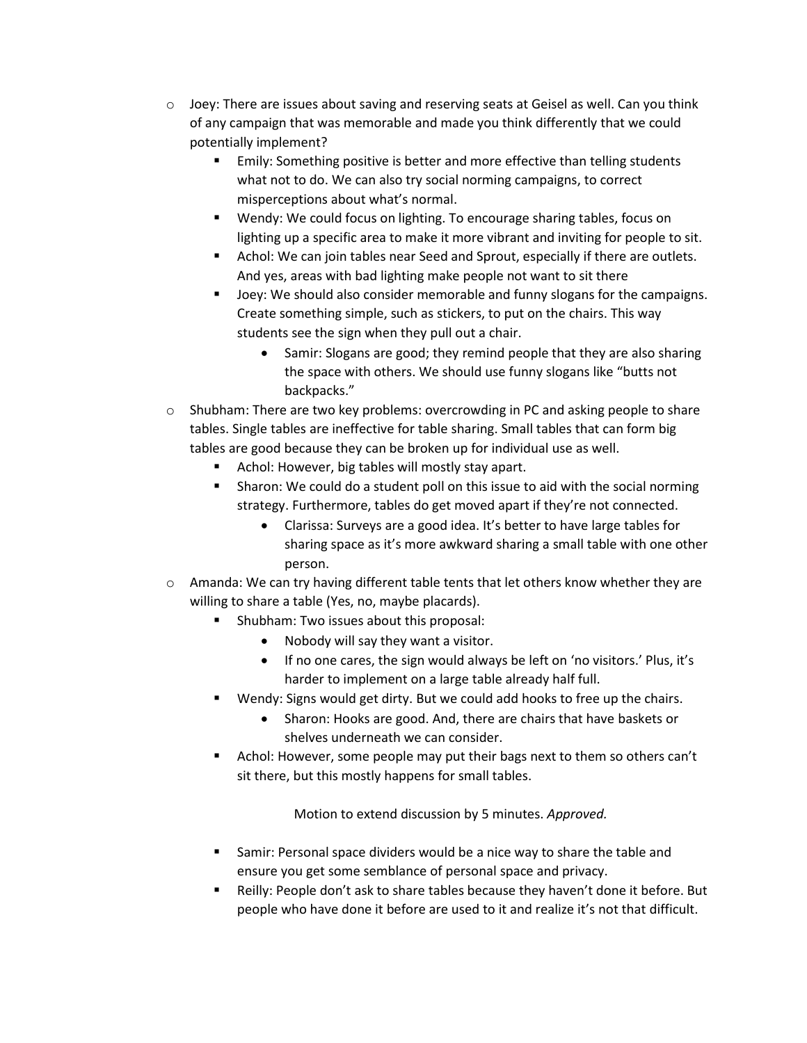- $\circ$  Joey: There are issues about saving and reserving seats at Geisel as well. Can you think of any campaign that was memorable and made you think differently that we could potentially implement?
	- **Emily: Something positive is better and more effective than telling students** what not to do. We can also try social norming campaigns, to correct misperceptions about what's normal.
	- Wendy: We could focus on lighting. To encourage sharing tables, focus on lighting up a specific area to make it more vibrant and inviting for people to sit.
	- Achol: We can join tables near Seed and Sprout, especially if there are outlets. And yes, areas with bad lighting make people not want to sit there
	- Joey: We should also consider memorable and funny slogans for the campaigns. Create something simple, such as stickers, to put on the chairs. This way students see the sign when they pull out a chair.
		- Samir: Slogans are good; they remind people that they are also sharing the space with others. We should use funny slogans like "butts not backpacks."
- $\circ$  Shubham: There are two key problems: overcrowding in PC and asking people to share tables. Single tables are ineffective for table sharing. Small tables that can form big tables are good because they can be broken up for individual use as well.
	- Achol: However, big tables will mostly stay apart.
	- **E** Sharon: We could do a student poll on this issue to aid with the social norming strategy. Furthermore, tables do get moved apart if they're not connected.
		- Clarissa: Surveys are a good idea. It's better to have large tables for sharing space as it's more awkward sharing a small table with one other person.
- $\circ$  Amanda: We can try having different table tents that let others know whether they are willing to share a table (Yes, no, maybe placards).
	- Shubham: Two issues about this proposal:
		- Nobody will say they want a visitor.
		- If no one cares, the sign would always be left on 'no visitors.' Plus, it's harder to implement on a large table already half full.
	- Wendy: Signs would get dirty. But we could add hooks to free up the chairs.
		- Sharon: Hooks are good. And, there are chairs that have baskets or shelves underneath we can consider.
	- Achol: However, some people may put their bags next to them so others can't sit there, but this mostly happens for small tables.

Motion to extend discussion by 5 minutes. *Approved.*

- Samir: Personal space dividers would be a nice way to share the table and ensure you get some semblance of personal space and privacy.
- Reilly: People don't ask to share tables because they haven't done it before. But people who have done it before are used to it and realize it's not that difficult.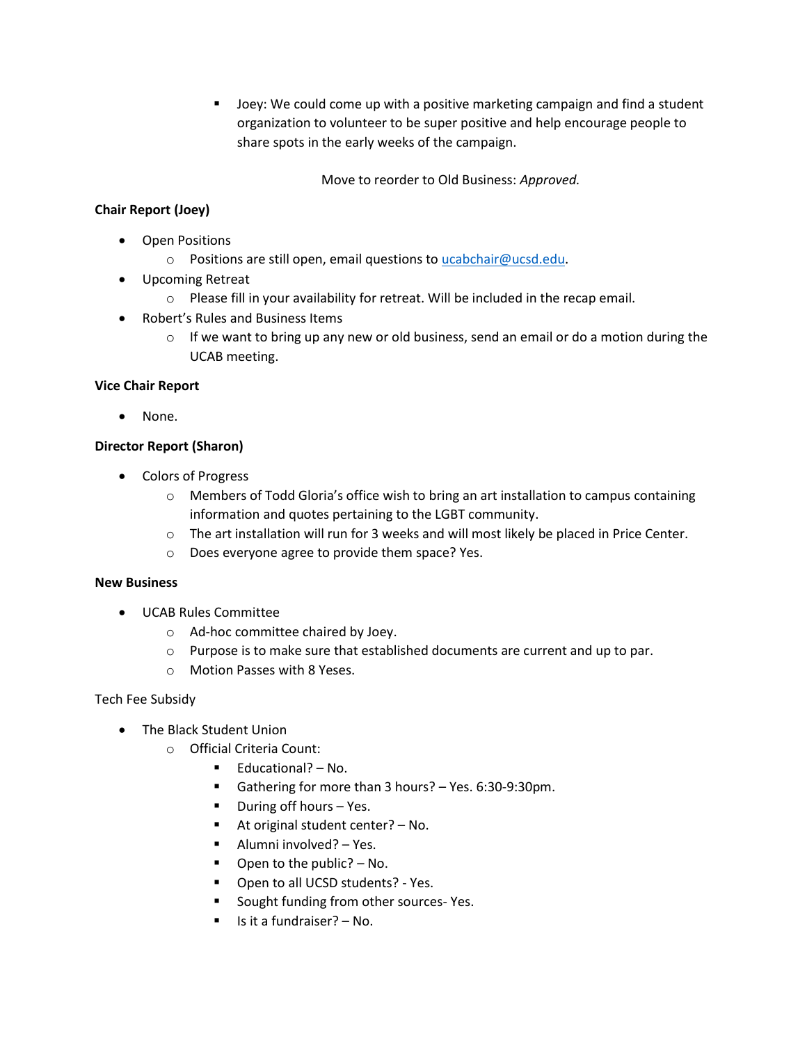▪ Joey: We could come up with a positive marketing campaign and find a student organization to volunteer to be super positive and help encourage people to share spots in the early weeks of the campaign.

Move to reorder to Old Business: *Approved.*

# **Chair Report (Joey)**

- Open Positions
	- o Positions are still open, email questions to [ucabchair@ucsd.edu.](mailto:ucabchair@ucsd.edu)
- Upcoming Retreat
	- $\circ$  Please fill in your availability for retreat. Will be included in the recap email.
- Robert's Rules and Business Items
	- $\circ$  If we want to bring up any new or old business, send an email or do a motion during the UCAB meeting.

## **Vice Chair Report**

• None.

## **Director Report (Sharon)**

- Colors of Progress
	- o Members of Todd Gloria's office wish to bring an art installation to campus containing information and quotes pertaining to the LGBT community.
	- o The art installation will run for 3 weeks and will most likely be placed in Price Center.
	- o Does everyone agree to provide them space? Yes.

#### **New Business**

- UCAB Rules Committee
	- o Ad-hoc committee chaired by Joey.
	- o Purpose is to make sure that established documents are current and up to par.
	- o Motion Passes with 8 Yeses.

Tech Fee Subsidy

- The Black Student Union
	- o Official Criteria Count:
		- Educational? No.
		- Gathering for more than 3 hours? Yes. 6:30-9:30pm.
		- During off hours Yes.
		- At original student center?  $-$  No.
		- Alumni involved? Yes.
		- $\blacksquare$  Open to the public? No.
		- Open to all UCSD students? Yes.
		- Sought funding from other sources- Yes.
		- Is it a fundraiser? No.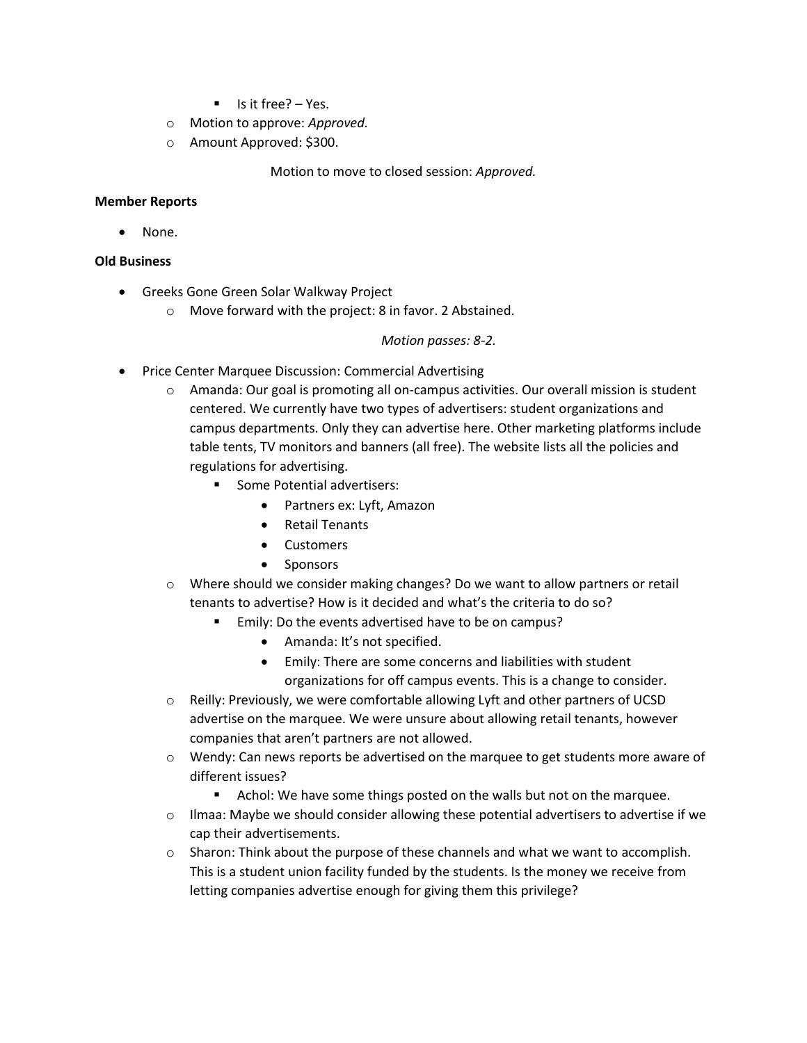- Is it free? Yes.
- o Motion to approve: *Approved.*
- o Amount Approved: \$300.

Motion to move to closed session: *Approved.*

#### **Member Reports**

None.

#### **Old Business**

- Greeks Gone Green Solar Walkway Project
	- o Move forward with the project: 8 in favor. 2 Abstained.

#### *Motion passes: 8-2.*

- Price Center Marquee Discussion: Commercial Advertising
	- o Amanda: Our goal is promoting all on-campus activities. Our overall mission is student centered. We currently have two types of advertisers: student organizations and campus departments. Only they can advertise here. Other marketing platforms include table tents, TV monitors and banners (all free). The website lists all the policies and regulations for advertising.
		- Some Potential advertisers:
			- Partners ex: Lyft, Amazon
			- Retail Tenants
			- Customers
			- Sponsors
	- o Where should we consider making changes? Do we want to allow partners or retail tenants to advertise? How is it decided and what's the criteria to do so?
		- Emily: Do the events advertised have to be on campus?
			- Amanda: It's not specified.
			- Emily: There are some concerns and liabilities with student organizations for off campus events. This is a change to consider.
	- $\circ$  Reilly: Previously, we were comfortable allowing Lyft and other partners of UCSD advertise on the marquee. We were unsure about allowing retail tenants, however companies that aren't partners are not allowed.
	- o Wendy: Can news reports be advertised on the marquee to get students more aware of different issues?
		- Achol: We have some things posted on the walls but not on the marquee.
	- $\circ$  Ilmaa: Maybe we should consider allowing these potential advertisers to advertise if we cap their advertisements.
	- $\circ$  Sharon: Think about the purpose of these channels and what we want to accomplish. This is a student union facility funded by the students. Is the money we receive from letting companies advertise enough for giving them this privilege?